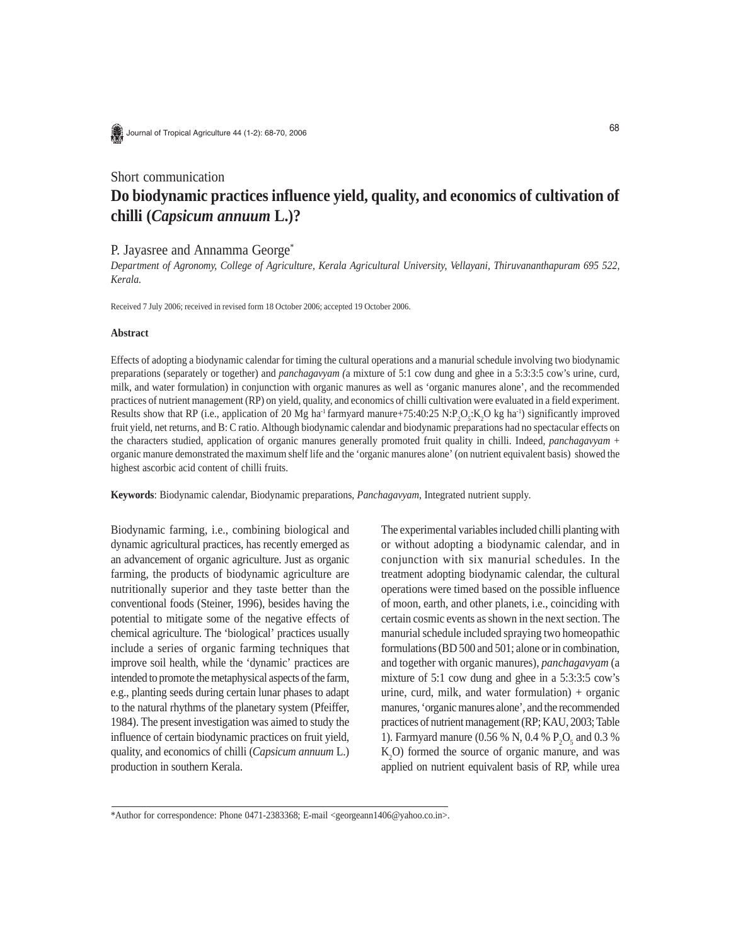

Journal of Tropical Agriculture 44 (1-2): 68-70, 2006

# Short communication

# **Do biodynamic practices influence yield, quality, and economics of cultivation of chilli (***Capsicum annuum* **L.)?**

## P. Jayasree and Annamma George<sup>\*</sup>

*Department of Agronomy, College of Agriculture, Kerala Agricultural University, Vellayani, Thiruvananthapuram 695 522, Kerala.*

Received 7 July 2006; received in revised form 18 October 2006; accepted 19 October 2006.

#### **Abstract**

Effects of adopting a biodynamic calendar for timing the cultural operations and a manurial schedule involving two biodynamic preparations (separately or together) and *panchagavyam (*a mixture of 5:1 cow dung and ghee in a 5:3:3:5 cow's urine, curd, milk, and water formulation) in conjunction with organic manures as well as 'organic manures alone', and the recommended practices of nutrient management (RP) on yield, quality, and economics of chilli cultivation were evaluated in a field experiment. Results show that RP (i.e., application of 20 Mg ha<sup>-1</sup> farmyard manure+75:40:25 N:P<sub>2</sub>O<sub>5</sub>:K<sub>2</sub>O kg ha<sup>-1</sup>) significantly improved fruit yield, net returns, and B: C ratio. Although biodynamic calendar and biodynamic preparations had no spectacular effects on the characters studied, application of organic manures generally promoted fruit quality in chilli. Indeed, *panchagavyam* + organic manure demonstrated the maximum shelf life and the 'organic manures alone' (on nutrient equivalent basis) showed the highest ascorbic acid content of chilli fruits.

**Keywords**: Biodynamic calendar, Biodynamic preparations, *Panchagavyam,* Integrated nutrient supply.

Biodynamic farming, i.e., combining biological and dynamic agricultural practices, has recently emerged as an advancement of organic agriculture. Just as organic farming, the products of biodynamic agriculture are nutritionally superior and they taste better than the conventional foods (Steiner, 1996), besides having the potential to mitigate some of the negative effects of chemical agriculture. The 'biological' practices usually include a series of organic farming techniques that improve soil health, while the 'dynamic' practices are intended to promote the metaphysical aspects of the farm, e.g., planting seeds during certain lunar phases to adapt to the natural rhythms of the planetary system (Pfeiffer, 1984). The present investigation was aimed to study the influence of certain biodynamic practices on fruit yield, quality, and economics of chilli (*Capsicum annuum* L.) production in southern Kerala.

The experimental variables included chilli planting with or without adopting a biodynamic calendar, and in conjunction with six manurial schedules. In the treatment adopting biodynamic calendar, the cultural operations were timed based on the possible influence of moon, earth, and other planets, i.e., coinciding with certain cosmic events as shown in the next section. The manurial schedule included spraying two homeopathic formulations (BD 500 and 501; alone or in combination, and together with organic manures), *panchagavyam* (a mixture of 5:1 cow dung and ghee in a 5:3:3:5 cow's urine, curd, milk, and water formulation) + organic manures, 'organic manures alone', and the recommended practices of nutrient management (RP; KAU, 2003; Table 1). Farmyard manure (0.56 % N, 0.4 %  $P_2O_5$  and 0.3 %  $K_2$ O) formed the source of organic manure, and was applied on nutrient equivalent basis of RP, while urea

<sup>\*</sup>Author for correspondence: Phone 0471-2383368; E-mail <georgeann1406@yahoo.co.in>.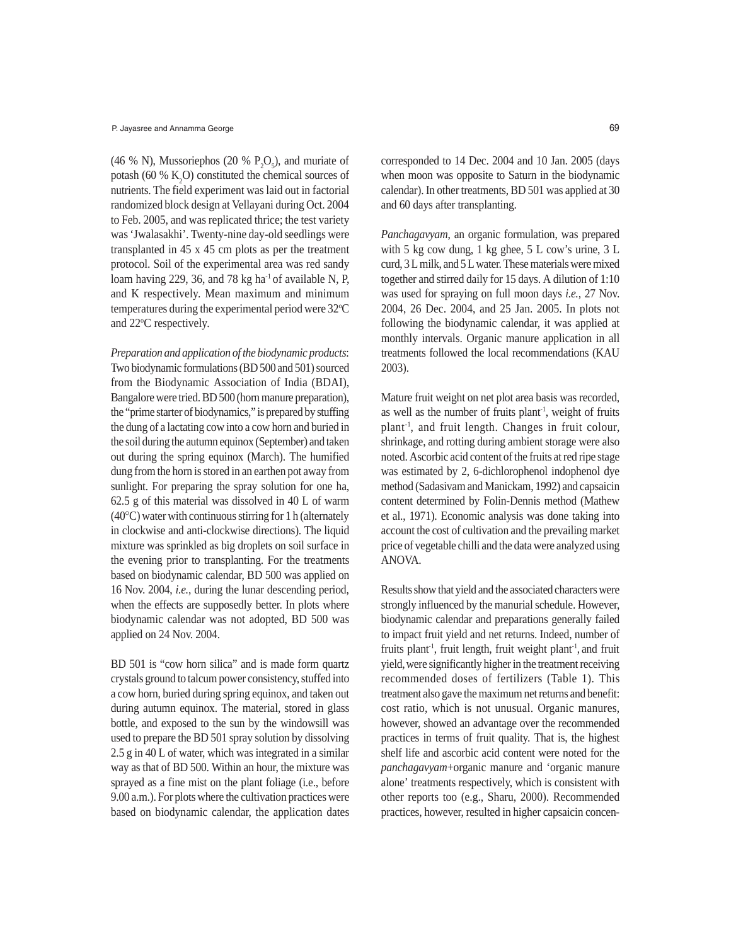(46 % N), Mussoriephos (20 %  $P_2O_5$ ), and muriate of potash (60 %  $K_2$ O) constituted the chemical sources of nutrients. The field experiment was laid out in factorial randomized block design at Vellayani during Oct. 2004 to Feb. 2005, and was replicated thrice; the test variety was 'Jwalasakhi'. Twenty-nine day-old seedlings were transplanted in 45 x 45 cm plots as per the treatment protocol. Soil of the experimental area was red sandy loam having 229, 36, and 78 kg ha<sup>-1</sup> of available N, P, and K respectively. Mean maximum and minimum temperatures during the experimental period were 32°C and 22°C respectively.

*Preparation and application of the biodynamic products*: Two biodynamic formulations (BD 500 and 501) sourced from the Biodynamic Association of India (BDAI), Bangalore were tried. BD 500 (horn manure preparation), the "prime starter of biodynamics," is prepared by stuffing the dung of a lactating cow into a cow horn and buried in the soil during the autumn equinox (September) and taken out during the spring equinox (March). The humified dung from the horn is stored in an earthen pot away from sunlight. For preparing the spray solution for one ha, 62.5 g of this material was dissolved in 40 L of warm (40°C) water with continuous stirring for 1 h (alternately in clockwise and anti-clockwise directions). The liquid mixture was sprinkled as big droplets on soil surface in the evening prior to transplanting. For the treatments based on biodynamic calendar, BD 500 was applied on 16 Nov. 2004, *i.e.,* during the lunar descending period, when the effects are supposedly better. In plots where biodynamic calendar was not adopted, BD 500 was applied on 24 Nov. 2004.

BD 501 is "cow horn silica" and is made form quartz crystals ground to talcum power consistency, stuffed into a cow horn, buried during spring equinox, and taken out during autumn equinox. The material, stored in glass bottle, and exposed to the sun by the windowsill was used to prepare the BD 501 spray solution by dissolving 2.5 g in 40 L of water, which was integrated in a similar way as that of BD 500. Within an hour, the mixture was sprayed as a fine mist on the plant foliage (i.e., before 9.00 a.m.). For plots where the cultivation practices were based on biodynamic calendar, the application dates

corresponded to 14 Dec. 2004 and 10 Jan. 2005 (days when moon was opposite to Saturn in the biodynamic calendar). In other treatments, BD 501 was applied at 30 and 60 days after transplanting.

*Panchagavyam*, an organic formulation, was prepared with 5 kg cow dung, 1 kg ghee, 5 L cow's urine, 3 L curd, 3 L milk, and 5 L water. These materials were mixed together and stirred daily for 15 days. A dilution of 1:10 was used for spraying on full moon days *i.e.,* 27 Nov. 2004, 26 Dec. 2004, and 25 Jan. 2005. In plots not following the biodynamic calendar, it was applied at monthly intervals. Organic manure application in all treatments followed the local recommendations (KAU 2003).

Mature fruit weight on net plot area basis was recorded, as well as the number of fruits plant<sup>-1</sup>, weight of fruits plant-1, and fruit length. Changes in fruit colour, shrinkage, and rotting during ambient storage were also noted. Ascorbic acid content of the fruits at red ripe stage was estimated by 2, 6-dichlorophenol indophenol dye method (Sadasivam and Manickam, 1992) and capsaicin content determined by Folin-Dennis method (Mathew et al., 1971). Economic analysis was done taking into account the cost of cultivation and the prevailing market price of vegetable chilli and the data were analyzed using ANOVA.

Results show that yield and the associated characters were strongly influenced by the manurial schedule. However, biodynamic calendar and preparations generally failed to impact fruit yield and net returns. Indeed, number of fruits plant<sup>1</sup>, fruit length, fruit weight plant<sup>1</sup>, and fruit yield,were significantly higher in the treatment receiving recommended doses of fertilizers (Table 1). This treatment also gave the maximum net returns and benefit: cost ratio, which is not unusual. Organic manures, however, showed an advantage over the recommended practices in terms of fruit quality. That is, the highest shelf life and ascorbic acid content were noted for the *panchagavyam*+organic manure and 'organic manure alone' treatments respectively, which is consistent with other reports too (e.g., Sharu, 2000). Recommended practices, however, resulted in higher capsaicin concen-